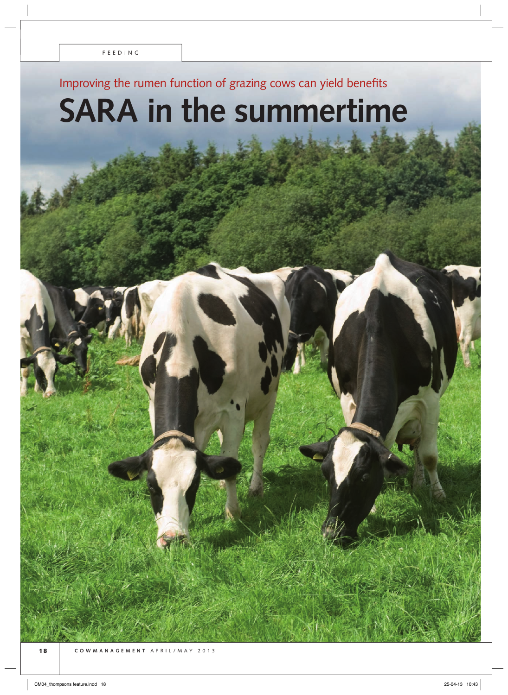# Improving the rumen function of grazing cows can yield benefits

# **SARA in the summertime**